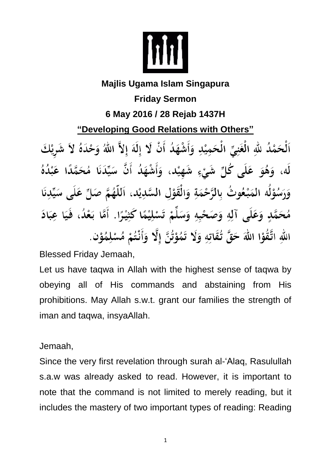

## **Majlis Ugama Islam Singapura Friday Sermon 6 May 2016 / 28 Rejab 1437H "Developing Good Relations with Others"** اَلْحَمْدُ للَّهِ الْغَنِيِّ الْحَمِيْدِ وَأَشْهَدُ أَنْ لَا إِلَهَ إِلاَّ اللَّهُ وَحْدَهُ لاَ شَرِيْكَ لَه، وَهُوَ عَلَى كُلِّ شَيْءٍ شَهِيْد، وَأَشْهَدُ أَنَّ سَيِّدَنَا مُحَمَّدًا عَبْدُهُ وَرَسُوْلُه المَبْعُوتُ بِالرَّحْمَةِ وَالْقَوْلِ السَّدِيْدِ، اَللَّهُمَّ صَلِّ عَلَى سَيِّدِنَا مُحَمَّدٍ وَعَلَى آلِهِ وَصَحْبِهِ وَسَلِّمْ تَسْلِيْمًا كَثِيْرًا. أَمَّا بَعْدُ، فَيَا عِبَادَ اللهِ اتَّقُوْا اللهَ حَقَّ تُقَاتِهِ وَلَا تَمُوْتُنَّ إِلَّا وَأَنْتُمْ مُسْلِمُوْنٍ.

Blessed Friday Jemaah,

Let us have taqwa in Allah with the highest sense of taqwa by obeying all of His commands and abstaining from His prohibitions. May Allah s.w.t. grant our families the strength of iman and taqwa, insyaAllah.

Jemaah,

Since the very first revelation through surah al-'Alaq, Rasulullah s.a.w was already asked to read. However, it is important to note that the command is not limited to merely reading, but it includes the mastery of two important types of reading: Reading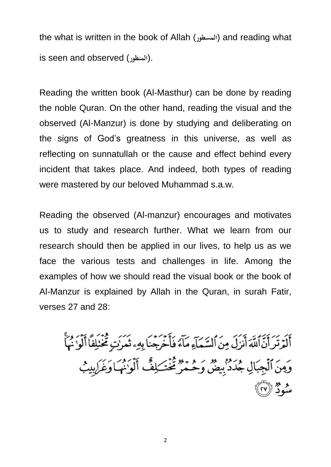the what is written in the book of Allah (المسطور) and reading what is seen and observed (**المنظور**(.

Reading the written book (Al-Masthur) can be done by reading the noble Quran. On the other hand, reading the visual and the observed (Al-Manzur) is done by studying and deliberating on the signs of God's greatness in this universe, as well as reflecting on sunnatullah or the cause and effect behind every incident that takes place. And indeed, both types of reading were mastered by our beloved Muhammad s.a.w.

Reading the observed (Al-manzur) encourages and motivates us to study and research further. What we learn from our research should then be applied in our lives, to help us as we face the various tests and challenges in life. Among the examples of how we should read the visual book or the book of Al-Manzur is explained by Allah in the Quran, in surah Fatir, verses 27 and 28:

أَلَمْ تَرَأَيَّهُ اَنْزَلَ مِنَ ٱلسَّمَآءِ مَآءَ فَأَخْرَجْنَا بِهِء ثَمَرَٰتٍ مُخْنَلِفًا أَلُوْ نُهَأَ وَمِنَ ٱلۡجِبَالِ جُدَدۡ بِيضٌ وَحُمۡرٌ مُخۡتَـٰلِفٌ أَلۡوَاٰنُهَـٰاوَغَـٰ لِبِيۡبُ ه مو مو<br>سود (۲۷)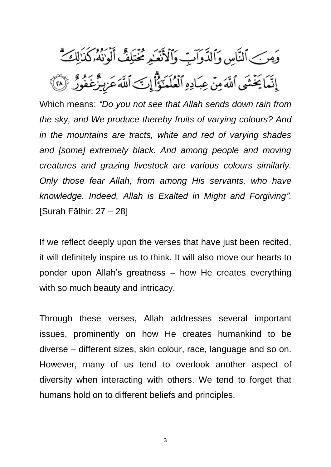وَمِنَ ٱلنَّاسِ وَٱلدَّوَابِّ وَٱلْأَنْعَـٰهِ مُخْتَلِفٌ أَلْوَنُهُۥكُذَٰلِكَ ۗ إِنَّمَا يَخْشَى ٱللَّهَ مِنْ عِبَادِهِ ٱلْعُلَمَةُ ۚ إِلَّ ٱللَّهَ عَزِيزٌ عَفُورٌ ۚ ۞

Which means: *"Do you not see that Allah sends down rain from the sky, and We produce thereby fruits of varying colours? And in the mountains are tracts, white and red of varying shades and [some] extremely black. And among people and moving creatures and grazing livestock are various colours similarly. Only those fear Allah, from among His servants, who have knowledge. Indeed, Allah is Exalted in Might and Forgiving".* [Surah Fāthir: 27 – 28]

If we reflect deeply upon the verses that have just been recited, it will definitely inspire us to think. It will also move our hearts to ponder upon Allah's greatness – how He creates everything with so much beauty and intricacy.

Through these verses, Allah addresses several important issues, prominently on how He creates humankind to be diverse – different sizes, skin colour, race, language and so on. However, many of us tend to overlook another aspect of diversity when interacting with others. We tend to forget that humans hold on to different beliefs and principles.

3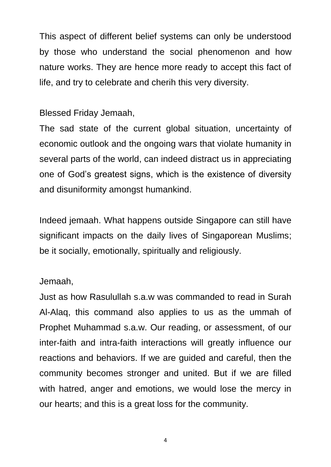This aspect of different belief systems can only be understood by those who understand the social phenomenon and how nature works. They are hence more ready to accept this fact of life, and try to celebrate and cherih this very diversity.

## Blessed Friday Jemaah,

The sad state of the current global situation, uncertainty of economic outlook and the ongoing wars that violate humanity in several parts of the world, can indeed distract us in appreciating one of God's greatest signs, which is the existence of diversity and disuniformity amongst humankind.

Indeed jemaah. What happens outside Singapore can still have significant impacts on the daily lives of Singaporean Muslims; be it socially, emotionally, spiritually and religiously.

## Jemaah,

Just as how Rasulullah s.a.w was commanded to read in Surah Al-Alaq, this command also applies to us as the ummah of Prophet Muhammad s.a.w. Our reading, or assessment, of our inter-faith and intra-faith interactions will greatly influence our reactions and behaviors. If we are guided and careful, then the community becomes stronger and united. But if we are filled with hatred, anger and emotions, we would lose the mercy in our hearts; and this is a great loss for the community.

4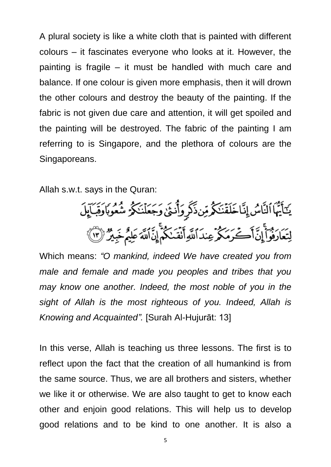A plural society is like a white cloth that is painted with different colours – it fascinates everyone who looks at it. However, the painting is fragile – it must be handled with much care and balance. If one colour is given more emphasis, then it will drown the other colours and destroy the beauty of the painting. If the fabric is not given due care and attention, it will get spoiled and the painting will be destroyed. The fabric of the painting I am referring to is Singapore, and the plethora of colours are the Singaporeans.

Allah s.w.t. says in the Quran:

يَكَأَيُّهَا النَّاسُ إِنَّاخَلَقَّنَكُمْ مِّنذَكَرٍ وَأُنثَىٰ وَجَعَلْنَكُمُ شُعُوبَاوَقِبَالِلَ لِتَعَارَفُواْ إِنَّ أَكْرَمَكُمْ عِندَ اللَّهِ أَنْقَدْكُمْ إِنَّ اللَّهَ عَلِيمٌ خَبِيرٌ (١)

Which means: *"O mankind, indeed We have created you from male and female and made you peoples and tribes that you may know one another. Indeed, the most noble of you in the sight of Allah is the most righteous of you. Indeed, Allah is Knowing and Acquainted".* [Surah Al-Hujurāt: 13]

In this verse, Allah is teaching us three lessons. The first is to reflect upon the fact that the creation of all humankind is from the same source. Thus, we are all brothers and sisters, whether we like it or otherwise. We are also taught to get to know each other and enjoin good relations. This will help us to develop good relations and to be kind to one another. It is also a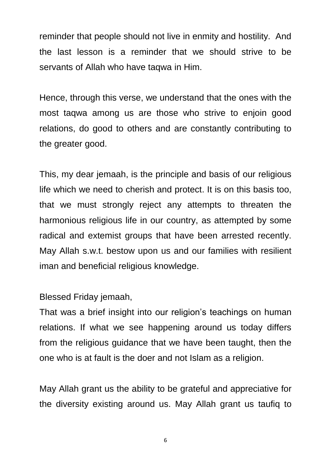reminder that people should not live in enmity and hostility. And the last lesson is a reminder that we should strive to be servants of Allah who have taqwa in Him.

Hence, through this verse, we understand that the ones with the most taqwa among us are those who strive to enjoin good relations, do good to others and are constantly contributing to the greater good.

This, my dear jemaah, is the principle and basis of our religious life which we need to cherish and protect. It is on this basis too, that we must strongly reject any attempts to threaten the harmonious religious life in our country, as attempted by some radical and extemist groups that have been arrested recently. May Allah s.w.t. bestow upon us and our families with resilient iman and beneficial religious knowledge.

Blessed Friday jemaah,

That was a brief insight into our religion's teachings on human relations. If what we see happening around us today differs from the religious guidance that we have been taught, then the one who is at fault is the doer and not Islam as a religion.

May Allah grant us the ability to be grateful and appreciative for the diversity existing around us. May Allah grant us taufiq to

6